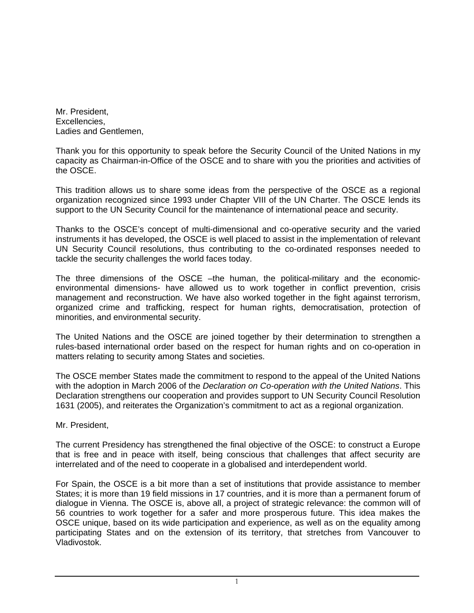Mr. President, Excellencies, Ladies and Gentlemen,

Thank you for this opportunity to speak before the Security Council of the United Nations in my capacity as Chairman-in-Office of the OSCE and to share with you the priorities and activities of the OSCE.

This tradition allows us to share some ideas from the perspective of the OSCE as a regional organization recognized since 1993 under Chapter VIII of the UN Charter. The OSCE lends its support to the UN Security Council for the maintenance of international peace and security.

Thanks to the OSCE's concept of multi-dimensional and co-operative security and the varied instruments it has developed, the OSCE is well placed to assist in the implementation of relevant UN Security Council resolutions, thus contributing to the co-ordinated responses needed to tackle the security challenges the world faces today.

The three dimensions of the OSCE –the human, the political-military and the economicenvironmental dimensions- have allowed us to work together in conflict prevention, crisis management and reconstruction. We have also worked together in the fight against terrorism, organized crime and trafficking, respect for human rights, democratisation, protection of minorities, and environmental security.

The United Nations and the OSCE are joined together by their determination to strengthen a rules-based international order based on the respect for human rights and on co-operation in matters relating to security among States and societies.

The OSCE member States made the commitment to respond to the appeal of the United Nations with the adoption in March 2006 of the *Declaration on Co-operation with the United Nations*. This Declaration strengthens our cooperation and provides support to UN Security Council Resolution 1631 (2005), and reiterates the Organization's commitment to act as a regional organization.

Mr. President,

The current Presidency has strengthened the final objective of the OSCE: to construct a Europe that is free and in peace with itself, being conscious that challenges that affect security are interrelated and of the need to cooperate in a globalised and interdependent world.

For Spain, the OSCE is a bit more than a set of institutions that provide assistance to member States; it is more than 19 field missions in 17 countries, and it is more than a permanent forum of dialogue in Vienna. The OSCE is, above all, a project of strategic relevance: the common will of 56 countries to work together for a safer and more prosperous future. This idea makes the OSCE unique, based on its wide participation and experience, as well as on the equality among participating States and on the extension of its territory, that stretches from Vancouver to Vladivostok.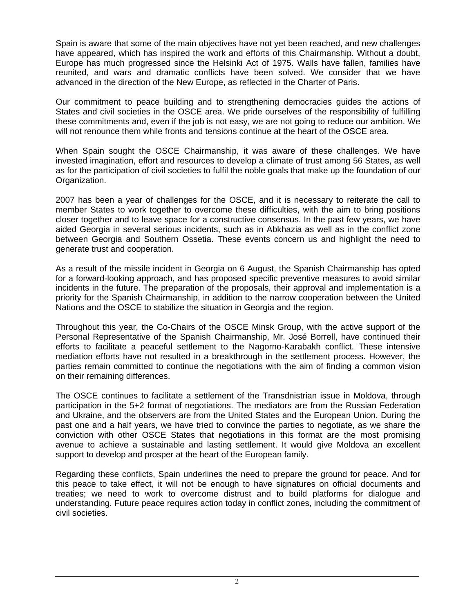Spain is aware that some of the main objectives have not yet been reached, and new challenges have appeared, which has inspired the work and efforts of this Chairmanship. Without a doubt, Europe has much progressed since the Helsinki Act of 1975. Walls have fallen, families have reunited, and wars and dramatic conflicts have been solved. We consider that we have advanced in the direction of the New Europe, as reflected in the Charter of Paris.

Our commitment to peace building and to strengthening democracies guides the actions of States and civil societies in the OSCE area. We pride ourselves of the responsibility of fulfilling these commitments and, even if the job is not easy, we are not going to reduce our ambition. We will not renounce them while fronts and tensions continue at the heart of the OSCE area.

When Spain sought the OSCE Chairmanship, it was aware of these challenges. We have invested imagination, effort and resources to develop a climate of trust among 56 States, as well as for the participation of civil societies to fulfil the noble goals that make up the foundation of our Organization.

2007 has been a year of challenges for the OSCE, and it is necessary to reiterate the call to member States to work together to overcome these difficulties, with the aim to bring positions closer together and to leave space for a constructive consensus. In the past few years, we have aided Georgia in several serious incidents, such as in [Abkhazia](http://www.babelpoint.com/1/?w=Abkhazia) as well as in the conflict zone between Georgia and Southern Ossetia. These events concern us and highlight the need to generate trust and cooperation.

As a result of the missile incident in Georgia on 6 August, the Spanish Chairmanship has opted for a forward-looking approach, and has proposed specific preventive measures to avoid similar incidents in the future. The preparation of the proposals, their approval and implementation is a priority for the Spanish Chairmanship, in addition to the narrow cooperation between the United Nations and the OSCE to stabilize the situation in Georgia and the region.

Throughout this year, the Co-Chairs of the OSCE Minsk Group, with the active support of the Personal Representative of the Spanish Chairmanship, Mr. José Borrell, have continued their efforts to facilitate a peaceful settlement to the Nagorno-Karabakh conflict. These intensive mediation efforts have not resulted in a breakthrough in the settlement process. However, the parties remain committed to continue the negotiations with the aim of finding a common vision on their remaining differences.

The OSCE continues to facilitate a settlement of the Transdnistrian issue in Moldova, through participation in the 5+2 format of negotiations. The mediators are from the Russian Federation and Ukraine, and the observers are from the United States and the European Union. During the past one and a half years, we have tried to convince the parties to negotiate, as we share the conviction with other OSCE States that negotiations in this format are the most promising avenue to achieve a sustainable and lasting settlement. It would give Moldova an excellent support to develop and prosper at the heart of the European family.

Regarding these conflicts, Spain underlines the need to prepare the ground for peace. And for this peace to take effect, it will not be enough to have signatures on official documents and treaties; we need to work to overcome distrust and to build platforms for dialogue and understanding. Future peace requires action today in conflict zones, including the commitment of civil societies.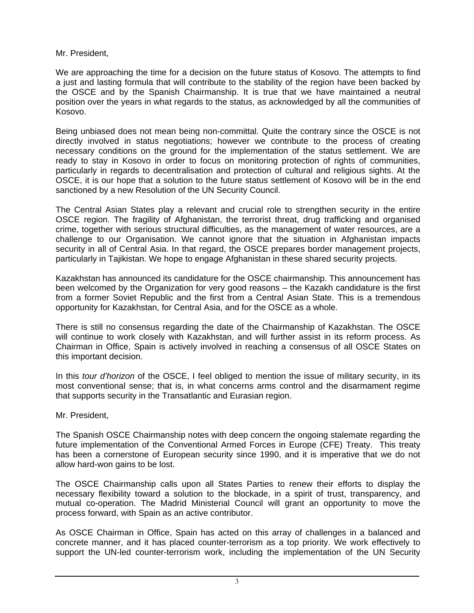Mr. President,

We are approaching the time for a decision on the future status of Kosovo. The attempts to find a just and lasting formula that will contribute to the stability of the region have been backed by the OSCE and by the Spanish Chairmanship. It is true that we have maintained a neutral position over the years in what regards to the status, as acknowledged by all the communities of Kosovo.

Being unbiased does not mean being non-committal. Quite the contrary since the OSCE is not directly involved in status negotiations; however we contribute to the process of creating necessary conditions on the ground for the implementation of the status settlement. We are ready to stay in Kosovo in order to focus on monitoring protection of rights of communities, particularly in regards to decentralisation and protection of cultural and religious sights. At the OSCE, it is our hope that a solution to the future status settlement of Kosovo will be in the end sanctioned by a new Resolution of the UN Security Council.

The Central Asian States play a relevant and crucial role to strengthen security in the entire OSCE region. The fragility of Afghanistan, the terrorist threat, drug trafficking and organised crime, together with serious structural difficulties, as the management of water resources, are a challenge to our Organisation. We cannot ignore that the situation in Afghanistan impacts security in all of Central Asia. In that regard, the OSCE prepares border management projects, particularly in Tajikistan. We hope to engage Afghanistan in these shared security projects.

Kazakhstan has announced its candidature for the OSCE chairmanship. This announcement has been welcomed by the Organization for very good reasons – the Kazakh candidature is the first from a former Soviet Republic and the first from a Central Asian State. This is a tremendous opportunity for Kazakhstan, for Central Asia, and for the OSCE as a whole.

There is still no consensus regarding the date of the Chairmanship of Kazakhstan. The OSCE will continue to work closely with Kazakhstan, and will further assist in its reform process. As Chairman in Office, Spain is actively involved in reaching a consensus of all OSCE States on this important decision.

In this *tour d'horizon* of the OSCE, I feel obliged to mention the issue of military security, in its most conventional sense; that is, in what concerns arms control and the disarmament regime that supports security in the Transatlantic and Eurasian region.

Mr. President,

The Spanish OSCE Chairmanship notes with deep concern the ongoing stalemate regarding the future implementation of the Conventional Armed Forces in Europe (CFE) Treaty. This treaty has been a cornerstone of European security since 1990, and it is imperative that we do not allow hard-won gains to be lost.

The OSCE Chairmanship calls upon all States Parties to renew their efforts to display the necessary flexibility toward a solution to the blockade, in a spirit of trust, transparency, and mutual co-operation. The Madrid Ministerial Council will grant an opportunity to move the process forward, with Spain as an active contributor.

As OSCE Chairman in Office, Spain has acted on this array of challenges in a balanced and concrete manner, and it has placed counter-terrorism as a top priority. We work effectively to support the UN-led counter-terrorism work, including the implementation of the UN Security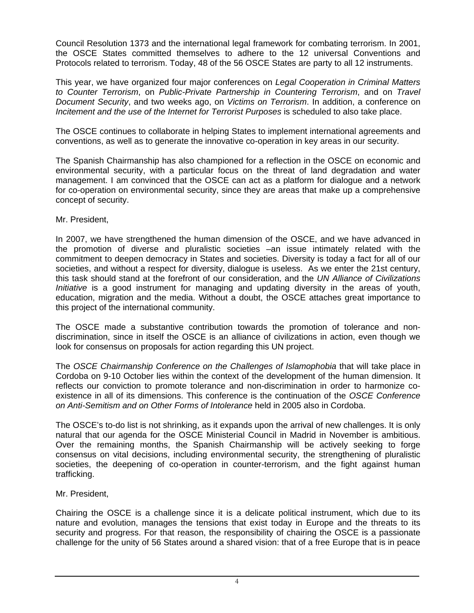Council Resolution 1373 and the international legal framework for combating terrorism. In 2001, the OSCE States committed themselves to adhere to the 12 universal Conventions and Protocols related to terrorism. Today, 48 of the 56 OSCE States are party to all 12 instruments.

This year, we have organized four major conferences on *Legal Cooperation in Criminal Matters to Counter Terrorism*, on *Public-Private Partnership in Countering Terrorism*, and on *Travel Document Security*, and two weeks ago, on *Victims on Terrorism*. In addition, a conference on *Incitement and the use of the Internet for Terrorist Purposes* is scheduled to also take place.

The OSCE continues to collaborate in helping States to implement international agreements and conventions, as well as to generate the innovative co-operation in key areas in our security.

The Spanish Chairmanship has also championed for a reflection in the OSCE on economic and environmental security, with a particular focus on the threat of land degradation and water management. I am convinced that the OSCE can act as a platform for dialogue and a network for co-operation on environmental security, since they are areas that make up a comprehensive concept of security.

Mr. President,

In 2007, we have strengthened the human dimension of the OSCE, and we have advanced in the promotion of diverse and pluralistic societies –an issue intimately related with the commitment to deepen democracy in States and societies. Diversity is today a fact for all of our societies, and without a respect for diversity, dialogue is useless. As we enter the 21st century, this task should stand at the forefront of our consideration, and the *UN Alliance of Civilizations Initiative* is a good instrument for managing and updating diversity in the areas of youth, education, migration and the media. Without a doubt, the OSCE attaches great importance to this project of the international community.

The OSCE made a substantive contribution towards the promotion of tolerance and nondiscrimination, since in itself the OSCE is an alliance of civilizations in action, even though we look for consensus on proposals for action regarding this UN project.

The *OSCE Chairmanship Conference on the Challenges of Islamophobia* that will take place in Cordoba on 9-10 October lies within the context of the development of the human dimension. It reflects our conviction to promote tolerance and non-discrimination in order to harmonize coexistence in all of its dimensions. This conference is the continuation of the *OSCE Conference on Anti-Semitism and on Other Forms of Intolerance* held in 2005 also in Cordoba.

The OSCE's to-do list is not shrinking, as it expands upon the arrival of new challenges. It is only natural that our agenda for the OSCE Ministerial Council in Madrid in November is ambitious. Over the remaining months, the Spanish Chairmanship will be actively seeking to forge consensus on vital decisions, including environmental security, the strengthening of pluralistic societies, the deepening of co-operation in counter-terrorism, and the fight against human trafficking.

Mr. President,

Chairing the OSCE is a challenge since it is a delicate political instrument, which due to its nature and evolution, manages the tensions that exist today in Europe and the threats to its security and progress. For that reason, the responsibility of chairing the OSCE is a passionate challenge for the unity of 56 States around a shared vision: that of a free Europe that is in peace